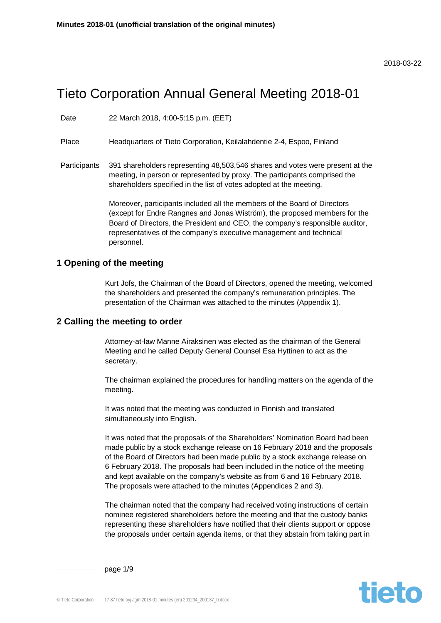#### 2018-03-22

# Tieto Corporation Annual General Meeting 2018-01

Date 22 March 2018, 4:00-5:15 p.m. (EET)

Place Headquarters of Tieto Corporation, Keilalahdentie 2-4, Espoo, Finland

Participants 391 shareholders representing 48,503,546 shares and votes were present at the meeting, in person or represented by proxy. The participants comprised the shareholders specified in the list of votes adopted at the meeting.

> Moreover, participants included all the members of the Board of Directors (except for Endre Rangnes and Jonas Wiström), the proposed members for the Board of Directors, the President and CEO, the company's responsible auditor, representatives of the company's executive management and technical personnel.

#### **1 Opening of the meeting**

Kurt Jofs, the Chairman of the Board of Directors, opened the meeting, welcomed the shareholders and presented the company's remuneration principles. The presentation of the Chairman was attached to the minutes (Appendix 1).

#### **2 Calling the meeting to order**

Attorney-at-law Manne Airaksinen was elected as the chairman of the General Meeting and he called Deputy General Counsel Esa Hyttinen to act as the secretary.

The chairman explained the procedures for handling matters on the agenda of the meeting.

It was noted that the meeting was conducted in Finnish and translated simultaneously into English.

It was noted that the proposals of the Shareholders' Nomination Board had been made public by a stock exchange release on 16 February 2018 and the proposals of the Board of Directors had been made public by a stock exchange release on 6 February 2018. The proposals had been included in the notice of the meeting and kept available on the company's website as from 6 and 16 February 2018. The proposals were attached to the minutes (Appendices 2 and 3).

The chairman noted that the company had received voting instructions of certain nominee registered shareholders before the meeting and that the custody banks representing these shareholders have notified that their clients support or oppose the proposals under certain agenda items, or that they abstain from taking part in



page 1/9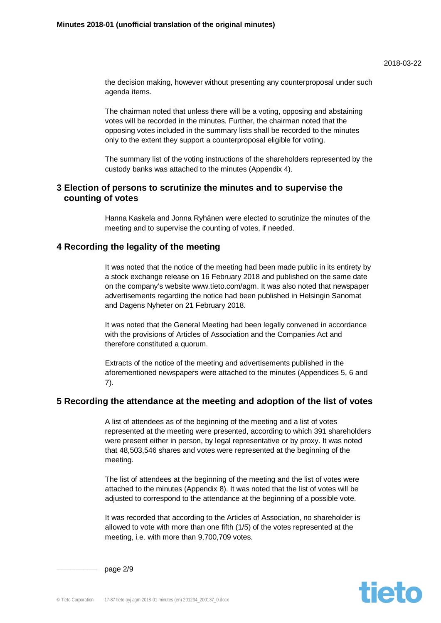the decision making, however without presenting any counterproposal under such agenda items.

The chairman noted that unless there will be a voting, opposing and abstaining votes will be recorded in the minutes. Further, the chairman noted that the opposing votes included in the summary lists shall be recorded to the minutes only to the extent they support a counterproposal eligible for voting.

The summary list of the voting instructions of the shareholders represented by the custody banks was attached to the minutes (Appendix 4).

## **3 Election of persons to scrutinize the minutes and to supervise the counting of votes**

Hanna Kaskela and Jonna Ryhänen were elected to scrutinize the minutes of the meeting and to supervise the counting of votes, if needed.

# **4 Recording the legality of the meeting**

It was noted that the notice of the meeting had been made public in its entirety by a stock exchange release on 16 February 2018 and published on the same date on the company's website www.tieto.com/agm. It was also noted that newspaper advertisements regarding the notice had been published in Helsingin Sanomat and Dagens Nyheter on 21 February 2018.

It was noted that the General Meeting had been legally convened in accordance with the provisions of Articles of Association and the Companies Act and therefore constituted a quorum.

Extracts of the notice of the meeting and advertisements published in the aforementioned newspapers were attached to the minutes (Appendices 5, 6 and 7).

#### **5 Recording the attendance at the meeting and adoption of the list of votes**

A list of attendees as of the beginning of the meeting and a list of votes represented at the meeting were presented, according to which 391 shareholders were present either in person, by legal representative or by proxy. It was noted that 48,503,546 shares and votes were represented at the beginning of the meeting.

The list of attendees at the beginning of the meeting and the list of votes were attached to the minutes (Appendix 8). It was noted that the list of votes will be adjusted to correspond to the attendance at the beginning of a possible vote.

It was recorded that according to the Articles of Association, no shareholder is allowed to vote with more than one fifth (1/5) of the votes represented at the meeting, i.e. with more than 9,700,709 votes.



page 2/9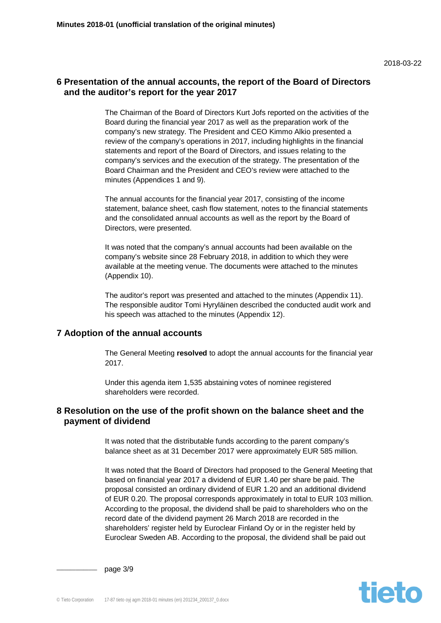# **6 Presentation of the annual accounts, the report of the Board of Directors and the auditor's report for the year 2017**

The Chairman of the Board of Directors Kurt Jofs reported on the activities of the Board during the financial year 2017 as well as the preparation work of the company's new strategy. The President and CEO Kimmo Alkio presented a review of the company's operations in 2017, including highlights in the financial statements and report of the Board of Directors, and issues relating to the company's services and the execution of the strategy. The presentation of the Board Chairman and the President and CEO's review were attached to the minutes (Appendices 1 and 9).

The annual accounts for the financial year 2017, consisting of the income statement, balance sheet, cash flow statement, notes to the financial statements and the consolidated annual accounts as well as the report by the Board of Directors, were presented.

It was noted that the company's annual accounts had been available on the company's website since 28 February 2018, in addition to which they were available at the meeting venue. The documents were attached to the minutes (Appendix 10).

The auditor's report was presented and attached to the minutes (Appendix 11). The responsible auditor Tomi Hyryläinen described the conducted audit work and his speech was attached to the minutes (Appendix 12).

## **7 Adoption of the annual accounts**

The General Meeting **resolved** to adopt the annual accounts for the financial year 2017.

Under this agenda item 1,535 abstaining votes of nominee registered shareholders were recorded.

## **8 Resolution on the use of the profit shown on the balance sheet and the payment of dividend**

It was noted that the distributable funds according to the parent company's balance sheet as at 31 December 2017 were approximately EUR 585 million.

It was noted that the Board of Directors had proposed to the General Meeting that based on financial year 2017 a dividend of EUR 1.40 per share be paid. The proposal consisted an ordinary dividend of EUR 1.20 and an additional dividend of EUR 0.20. The proposal corresponds approximately in total to EUR 103 million. According to the proposal, the dividend shall be paid to shareholders who on the record date of the dividend payment 26 March 2018 are recorded in the shareholders' register held by Euroclear Finland Oy or in the register held by Euroclear Sweden AB. According to the proposal, the dividend shall be paid out



page 3/9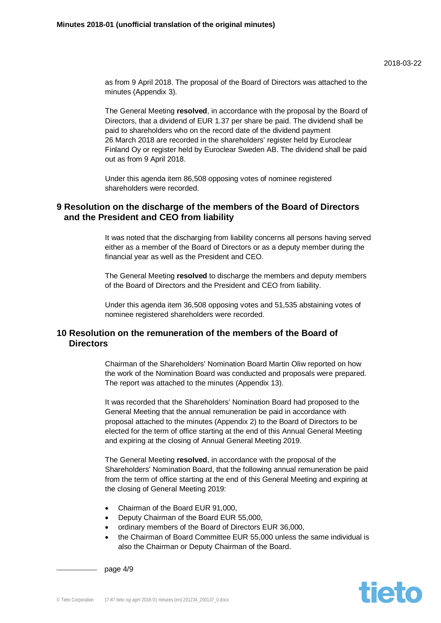as from 9 April 2018. The proposal of the Board of Directors was attached to the minutes (Appendix 3).

The General Meeting **resolved**, in accordance with the proposal by the Board of Directors, that a dividend of EUR 1.37 per share be paid. The dividend shall be paid to shareholders who on the record date of the dividend payment 26 March 2018 are recorded in the shareholders' register held by Euroclear Finland Oy or register held by Euroclear Sweden AB. The dividend shall be paid out as from 9 April 2018.

Under this agenda item 86,508 opposing votes of nominee registered shareholders were recorded.

## **9 Resolution on the discharge of the members of the Board of Directors and the President and CEO from liability**

It was noted that the discharging from liability concerns all persons having served either as a member of the Board of Directors or as a deputy member during the financial year as well as the President and CEO.

The General Meeting **resolved** to discharge the members and deputy members of the Board of Directors and the President and CEO from liability.

Under this agenda item 36,508 opposing votes and 51,535 abstaining votes of nominee registered shareholders were recorded.

# **10 Resolution on the remuneration of the members of the Board of Directors**

Chairman of the Shareholders' Nomination Board Martin Oliw reported on how the work of the Nomination Board was conducted and proposals were prepared. The report was attached to the minutes (Appendix 13).

It was recorded that the Shareholders' Nomination Board had proposed to the General Meeting that the annual remuneration be paid in accordance with proposal attached to the minutes (Appendix 2) to the Board of Directors to be elected for the term of office starting at the end of this Annual General Meeting and expiring at the closing of Annual General Meeting 2019.

The General Meeting **resolved**, in accordance with the proposal of the Shareholders' Nomination Board, that the following annual remuneration be paid from the term of office starting at the end of this General Meeting and expiring at the closing of General Meeting 2019:

- Chairman of the Board EUR 91,000.
- Deputy Chairman of the Board EUR 55,000,
- ordinary members of the Board of Directors EUR 36,000,
- the Chairman of Board Committee EUR 55,000 unless the same individual is also the Chairman or Deputy Chairman of the Board.

page  $4/9$ 

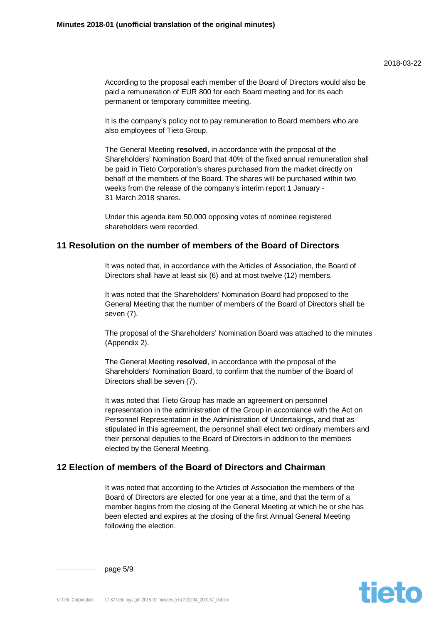According to the proposal each member of the Board of Directors would also be paid a remuneration of EUR 800 for each Board meeting and for its each permanent or temporary committee meeting.

It is the company's policy not to pay remuneration to Board members who are also employees of Tieto Group.

The General Meeting **resolved**, in accordance with the proposal of the Shareholders' Nomination Board that 40% of the fixed annual remuneration shall be paid in Tieto Corporation's shares purchased from the market directly on behalf of the members of the Board. The shares will be purchased within two weeks from the release of the company's interim report 1 January - 31 March 2018 shares.

Under this agenda item 50,000 opposing votes of nominee registered shareholders were recorded.

#### **11 Resolution on the number of members of the Board of Directors**

It was noted that, in accordance with the Articles of Association, the Board of Directors shall have at least six (6) and at most twelve (12) members.

It was noted that the Shareholders' Nomination Board had proposed to the General Meeting that the number of members of the Board of Directors shall be seven (7).

The proposal of the Shareholders' Nomination Board was attached to the minutes (Appendix 2).

The General Meeting **resolved**, in accordance with the proposal of the Shareholders' Nomination Board, to confirm that the number of the Board of Directors shall be seven (7).

It was noted that Tieto Group has made an agreement on personnel representation in the administration of the Group in accordance with the Act on Personnel Representation in the Administration of Undertakings, and that as stipulated in this agreement, the personnel shall elect two ordinary members and their personal deputies to the Board of Directors in addition to the members elected by the General Meeting.

# **12 Election of members of the Board of Directors and Chairman**

It was noted that according to the Articles of Association the members of the Board of Directors are elected for one year at a time, and that the term of a member begins from the closing of the General Meeting at which he or she has been elected and expires at the closing of the first Annual General Meeting following the election.



page 5/9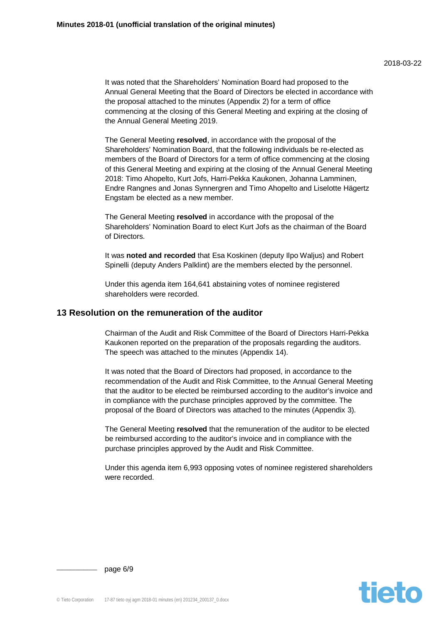It was noted that the Shareholders' Nomination Board had proposed to the Annual General Meeting that the Board of Directors be elected in accordance with the proposal attached to the minutes (Appendix 2) for a term of office commencing at the closing of this General Meeting and expiring at the closing of the Annual General Meeting 2019.

The General Meeting **resolved**, in accordance with the proposal of the Shareholders' Nomination Board, that the following individuals be re-elected as members of the Board of Directors for a term of office commencing at the closing of this General Meeting and expiring at the closing of the Annual General Meeting 2018: Timo Ahopelto, Kurt Jofs, Harri-Pekka Kaukonen, Johanna Lamminen, Endre Rangnes and Jonas Synnergren and Timo Ahopelto and Liselotte Hägertz Engstam be elected as a new member.

The General Meeting **resolved** in accordance with the proposal of the Shareholders' Nomination Board to elect Kurt Jofs as the chairman of the Board of Directors.

It was **noted and recorded** that Esa Koskinen (deputy Ilpo Waljus) and Robert Spinelli (deputy Anders Palklint) are the members elected by the personnel.

Under this agenda item 164,641 abstaining votes of nominee registered shareholders were recorded.

#### **13 Resolution on the remuneration of the auditor**

Chairman of the Audit and Risk Committee of the Board of Directors Harri-Pekka Kaukonen reported on the preparation of the proposals regarding the auditors. The speech was attached to the minutes (Appendix 14).

It was noted that the Board of Directors had proposed, in accordance to the recommendation of the Audit and Risk Committee, to the Annual General Meeting that the auditor to be elected be reimbursed according to the auditor's invoice and in compliance with the purchase principles approved by the committee. The proposal of the Board of Directors was attached to the minutes (Appendix 3).

The General Meeting **resolved** that the remuneration of the auditor to be elected be reimbursed according to the auditor's invoice and in compliance with the purchase principles approved by the Audit and Risk Committee.

Under this agenda item 6,993 opposing votes of nominee registered shareholders were recorded.



page 6/9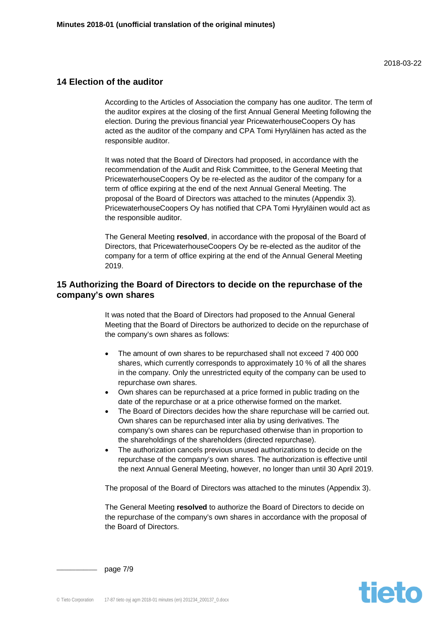## **14 Election of the auditor**

According to the Articles of Association the company has one auditor. The term of the auditor expires at the closing of the first Annual General Meeting following the election. During the previous financial year PricewaterhouseCoopers Oy has acted as the auditor of the company and CPA Tomi Hyryläinen has acted as the responsible auditor.

It was noted that the Board of Directors had proposed, in accordance with the recommendation of the Audit and Risk Committee, to the General Meeting that PricewaterhouseCoopers Oy be re-elected as the auditor of the company for a term of office expiring at the end of the next Annual General Meeting. The proposal of the Board of Directors was attached to the minutes (Appendix 3). PricewaterhouseCoopers Oy has notified that CPA Tomi Hyryläinen would act as the responsible auditor.

The General Meeting **resolved**, in accordance with the proposal of the Board of Directors, that PricewaterhouseCoopers Oy be re-elected as the auditor of the company for a term of office expiring at the end of the Annual General Meeting 2019.

## **15 Authorizing the Board of Directors to decide on the repurchase of the company's own shares**

It was noted that the Board of Directors had proposed to the Annual General Meeting that the Board of Directors be authorized to decide on the repurchase of the company's own shares as follows:

- The amount of own shares to be repurchased shall not exceed 7 400 000 shares, which currently corresponds to approximately 10 % of all the shares in the company. Only the unrestricted equity of the company can be used to repurchase own shares.
- Own shares can be repurchased at a price formed in public trading on the date of the repurchase or at a price otherwise formed on the market.
- The Board of Directors decides how the share repurchase will be carried out. Own shares can be repurchased inter alia by using derivatives. The company's own shares can be repurchased otherwise than in proportion to the shareholdings of the shareholders (directed repurchase).
- The authorization cancels previous unused authorizations to decide on the repurchase of the company's own shares. The authorization is effective until the next Annual General Meeting, however, no longer than until 30 April 2019.

The proposal of the Board of Directors was attached to the minutes (Appendix 3).

The General Meeting **resolved** to authorize the Board of Directors to decide on the repurchase of the company's own shares in accordance with the proposal of the Board of Directors.



page 7/9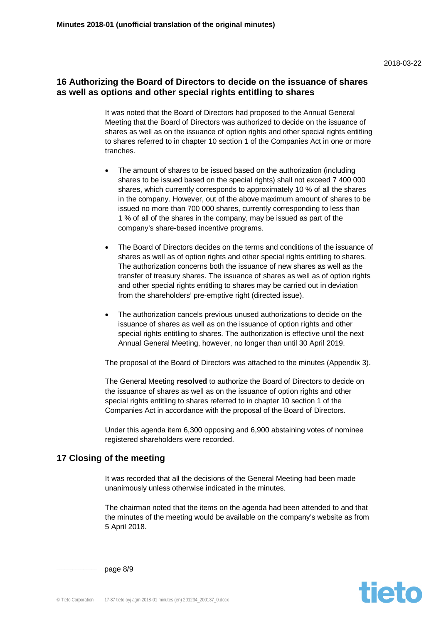# **16 Authorizing the Board of Directors to decide on the issuance of shares as well as options and other special rights entitling to shares**

It was noted that the Board of Directors had proposed to the Annual General Meeting that the Board of Directors was authorized to decide on the issuance of shares as well as on the issuance of option rights and other special rights entitling to shares referred to in chapter 10 section 1 of the Companies Act in one or more tranches.

- The amount of shares to be issued based on the authorization (including shares to be issued based on the special rights) shall not exceed 7 400 000 shares, which currently corresponds to approximately 10 % of all the shares in the company. However, out of the above maximum amount of shares to be issued no more than 700 000 shares, currently corresponding to less than 1 % of all of the shares in the company, may be issued as part of the company's share-based incentive programs.
- The Board of Directors decides on the terms and conditions of the issuance of shares as well as of option rights and other special rights entitling to shares. The authorization concerns both the issuance of new shares as well as the transfer of treasury shares. The issuance of shares as well as of option rights and other special rights entitling to shares may be carried out in deviation from the shareholders' pre-emptive right (directed issue).
- The authorization cancels previous unused authorizations to decide on the issuance of shares as well as on the issuance of option rights and other special rights entitling to shares. The authorization is effective until the next Annual General Meeting, however, no longer than until 30 April 2019.

The proposal of the Board of Directors was attached to the minutes (Appendix 3).

The General Meeting **resolved** to authorize the Board of Directors to decide on the issuance of shares as well as on the issuance of option rights and other special rights entitling to shares referred to in chapter 10 section 1 of the Companies Act in accordance with the proposal of the Board of Directors.

Under this agenda item 6,300 opposing and 6,900 abstaining votes of nominee registered shareholders were recorded.

## **17 Closing of the meeting**

It was recorded that all the decisions of the General Meeting had been made unanimously unless otherwise indicated in the minutes.

The chairman noted that the items on the agenda had been attended to and that the minutes of the meeting would be available on the company's website as from 5 April 2018.



page 8/9